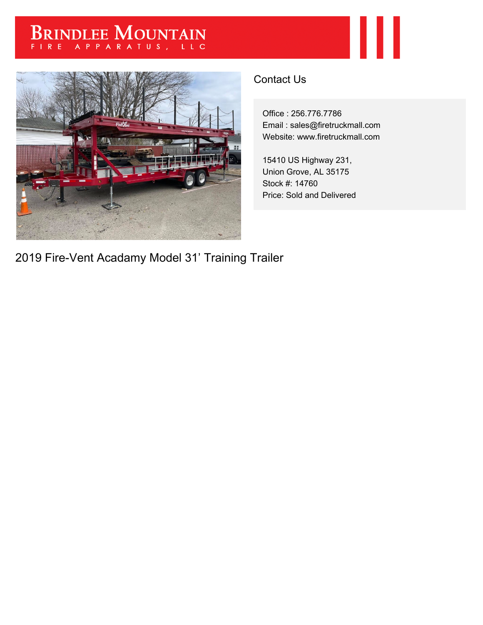## BRINDLEE MOUNTAIN



## Contact Us

Office : 256.776.7786 Email : sales@firetruckmall.com Website: www.firetruckmall.com

Ш

15410 US Highway 231, Union Grove, AL 35175 Stock #: 14760 Price: Sold and Delivered

2019 Fire-Vent Acadamy Model 31' Training Trailer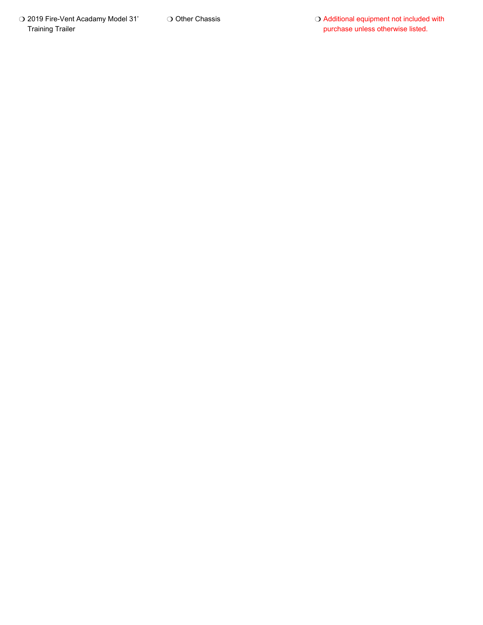O 2019 Fire-Vent Acadamy Model 31' Training Trailer

O Other Chassis

O Additional equipment not included with purchase unless otherwise listed.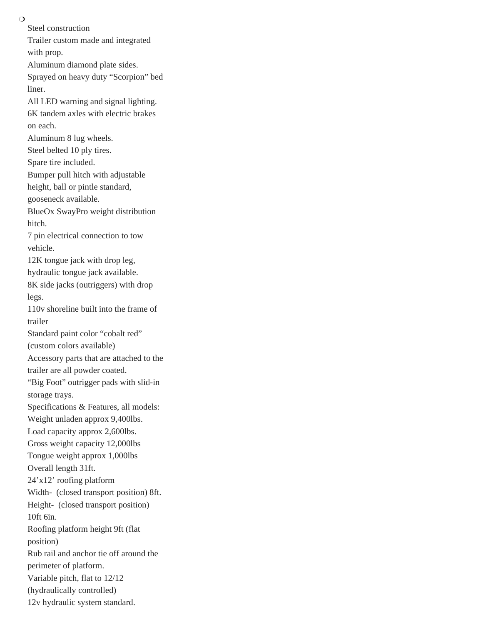$\Omega$ 

Steel construction Trailer custom made and integrated with prop. Aluminum diamond plate sides. Sprayed on heavy duty "Scorpion" bed liner. All LED warning and signal lighting. 6K tandem axles with electric brakes on each. Aluminum 8 lug wheels. Steel belted 10 ply tires. Spare tire included. Bumper pull hitch with adjustable height, ball or pintle standard, gooseneck available. BlueOx SwayPro weight distribution hitch. 7 pin electrical connection to tow vehicle. 12K tongue jack with drop leg, hydraulic tongue jack available. 8K side jacks (outriggers) with drop legs. 110v shoreline built into the frame of trailer Standard paint color "cobalt red" (custom colors available) Accessory parts that are attached to the trailer are all powder coated. "Big Foot" outrigger pads with slid-in storage trays. Specifications & Features, all models: Weight unladen approx 9,400lbs. Load capacity approx 2,600lbs. Gross weight capacity 12,000lbs Tongue weight approx 1,000lbs Overall length 31ft. 24'x12' roofing platform Width- (closed transport position) 8ft. Height- (closed transport position) 10ft 6in. Roofing platform height 9ft (flat position) Rub rail and anchor tie off around the perimeter of platform. Variable pitch, flat to 12/12 (hydraulically controlled) 12v hydraulic system standard.